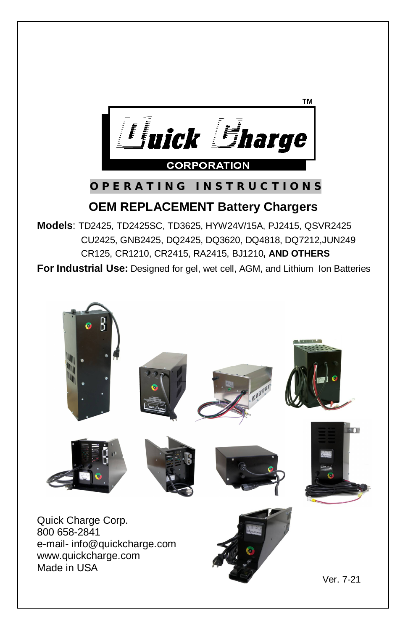

## **O P E R A T I N G I N S T R U C T I O N S**

## **OEM REPLACEMENT Battery Chargers**

**Models**: TD2425, TD2425SC, TD3625, HYW24V/15A, PJ2415, QSVR2425 CU2425, GNB2425, DQ2425, DQ3620, DQ4818, DQ7212,JUN249 CR125, CR1210, CR2415, RA2415, BJ1210**, AND OTHERS**

**For Industrial Use:** Designed for gel, wet cell, AGM, and Lithium Ion Batteries

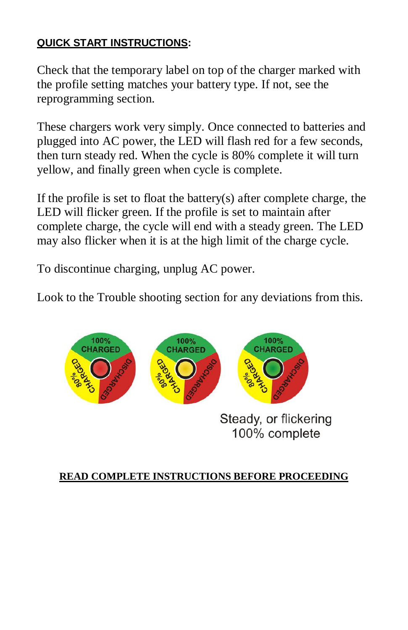## **QUICK START INSTRUCTIONS:**

Check that the temporary label on top of the charger marked with the profile setting matches your battery type. If not, see the reprogramming section.

These chargers work very simply. Once connected to batteries and plugged into AC power, the LED will flash red for a few seconds, then turn steady red. When the cycle is 80% complete it will turn yellow, and finally green when cycle is complete.

If the profile is set to float the battery(s) after complete charge, the LED will flicker green. If the profile is set to maintain after complete charge, the cycle will end with a steady green. The LED may also flicker when it is at the high limit of the charge cycle.

To discontinue charging, unplug AC power.

Look to the Trouble shooting section for any deviations from this.



Steady, or flickering 100% complete

## **READ COMPLETE INSTRUCTIONS BEFORE PROCEEDING**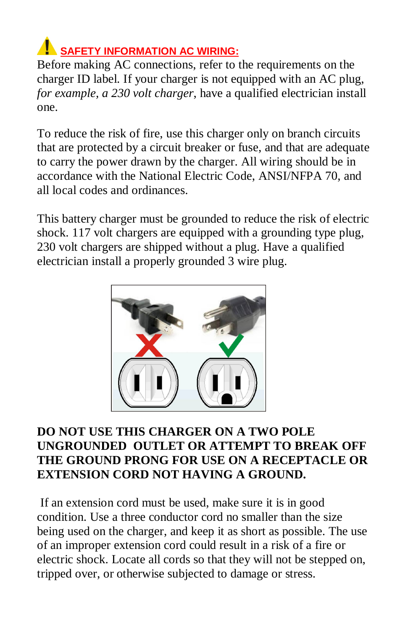## **SAFETY INFORMATION AC WIRING:**

Before making AC connections, refer to the requirements on the charger ID label. If your charger is not equipped with an AC plug, *for example, a 230 volt charger*, have a qualified electrician install one.

To reduce the risk of fire, use this charger only on branch circuits that are protected by a circuit breaker or fuse, and that are adequate to carry the power drawn by the charger. All wiring should be in accordance with the National Electric Code, ANSI/NFPA 70, and all local codes and ordinances.

This battery charger must be grounded to reduce the risk of electric shock. 117 volt chargers are equipped with a grounding type plug, 230 volt chargers are shipped without a plug. Have a qualified electrician install a properly grounded 3 wire plug.



## **DO NOT USE THIS CHARGER ON A TWO POLE UNGROUNDED OUTLET OR ATTEMPT TO BREAK OFF THE GROUND PRONG FOR USE ON A RECEPTACLE OR EXTENSION CORD NOT HAVING A GROUND.**

If an extension cord must be used, make sure it is in good condition. Use a three conductor cord no smaller than the size being used on the charger, and keep it as short as possible. The use of an improper extension cord could result in a risk of a fire or electric shock. Locate all cords so that they will not be stepped on, tripped over, or otherwise subjected to damage or stress.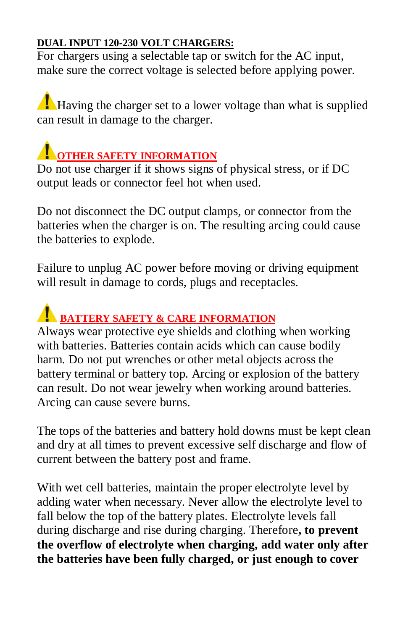### **DUAL INPUT 120-230 VOLT CHARGERS:**

For chargers using a selectable tap or switch for the AC input, make sure the correct voltage is selected before applying power.

Having the charger set to a lower voltage than what is supplied can result in damage to the charger.

## **COTHER SAFETY INFORMATION**

Do not use charger if it shows signs of physical stress, or if DC output leads or connector feel hot when used.

Do not disconnect the DC output clamps, or connector from the batteries when the charger is on. The resulting arcing could cause the batteries to explode.

Failure to unplug AC power before moving or driving equipment will result in damage to cords, plugs and receptacles.

## **BATTERY SAFETY & CARE INFORMATION**

Always wear protective eye shields and clothing when working with batteries. Batteries contain acids which can cause bodily harm. Do not put wrenches or other metal objects across the battery terminal or battery top. Arcing or explosion of the battery can result. Do not wear jewelry when working around batteries. Arcing can cause severe burns.

The tops of the batteries and battery hold downs must be kept clean and dry at all times to prevent excessive self discharge and flow of current between the battery post and frame.

With wet cell batteries, maintain the proper electrolyte level by adding water when necessary. Never allow the electrolyte level to fall below the top of the battery plates. Electrolyte levels fall during discharge and rise during charging. Therefore**, to prevent the overflow of electrolyte when charging, add water only after the batteries have been fully charged, or just enough to cover**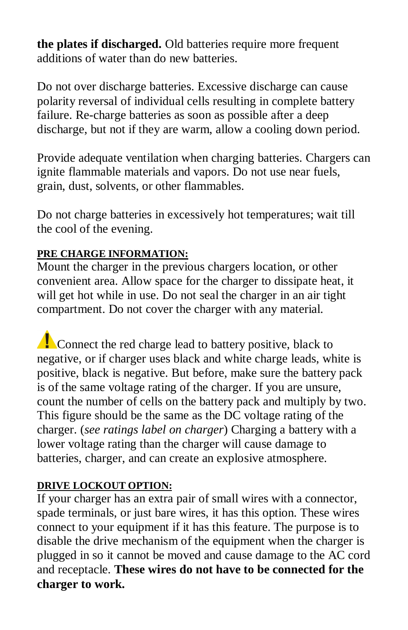**the plates if discharged.** Old batteries require more frequent additions of water than do new batteries.

Do not over discharge batteries. Excessive discharge can cause polarity reversal of individual cells resulting in complete battery failure. Re-charge batteries as soon as possible after a deep discharge, but not if they are warm, allow a cooling down period.

Provide adequate ventilation when charging batteries. Chargers can ignite flammable materials and vapors. Do not use near fuels, grain, dust, solvents, or other flammables.

Do not charge batteries in excessively hot temperatures; wait till the cool of the evening.

## **PRE CHARGE INFORMATION:**

Mount the charger in the previous chargers location, or other convenient area. Allow space for the charger to dissipate heat, it will get hot while in use. Do not seal the charger in an air tight compartment. Do not cover the charger with any material.

Connect the red charge lead to battery positive, black to negative, or if charger uses black and white charge leads, white is positive, black is negative. But before, make sure the battery pack is of the same voltage rating of the charger. If you are unsure, count the number of cells on the battery pack and multiply by two. This figure should be the same as the DC voltage rating of the charger. (*see ratings label on charger*) Charging a battery with a lower voltage rating than the charger will cause damage to batteries, charger, and can create an explosive atmosphere.

## **DRIVE LOCKOUT OPTION:**

If your charger has an extra pair of small wires with a connector, spade terminals, or just bare wires, it has this option. These wires connect to your equipment if it has this feature. The purpose is to disable the drive mechanism of the equipment when the charger is plugged in so it cannot be moved and cause damage to the AC cord and receptacle. **These wires do not have to be connected for the charger to work.**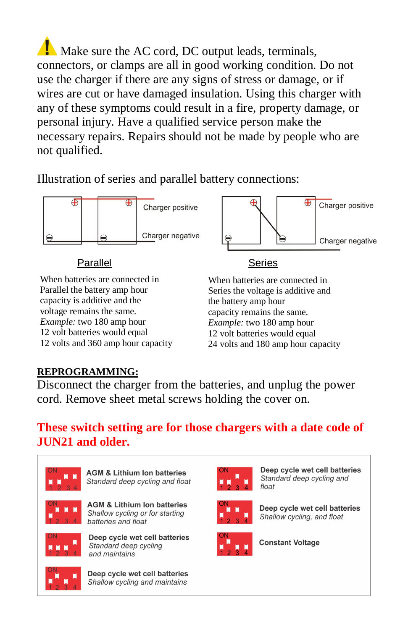Make sure the AC cord, DC output leads, terminals, connectors, or clamps are all in good working condition. Do not use the charger if there are any signs of stress or damage, or if wires are cut or have damaged insulation. Using this charger with any of these symptoms could result in a fire, property damage, or personal injury. Have a qualified service person make the necessary repairs. Repairs should not be made by people who are not qualified.

Illustration of series and parallel battery connections:



## Parallel **Series**

⊕

Charger positive

Charger negative

When batteries are connected in Parallel the battery amp hour capacity is additive and the voltage remains the same. *Example:* two 180 amp hour 12 volt batteries would equal 12 volts and 360 amp hour capacity When batteries are connected in Series the voltage is additive and the battery amp hour capacity remains the same. *Example:* two 180 amp hour 12 volt batteries would equal 24 volts and 180 amp hour capacity

## **REPROGRAMMING:**

Disconnect the charger from the batteries, and unplug the power cord. Remove sheet metal screws holding the cover on.

## **These switch setting are for those chargers with a date code of JUN21 and older.**



**AGM & Lithium Ion batteries** Standard deep cycling and float



**AGM & Lithium Ion batteries** Shallow cycling or for starting batteries and float



Deep cycle wet cell batteries Standard deep cycling and maintains



Deep cycle wet cell batteries Shallow cycling and maintains



Deep cycle wet cell batteries Standard deep cycling and float



Deep cycle wet cell batteries Shallow cycling, and float



**Constant Voltage**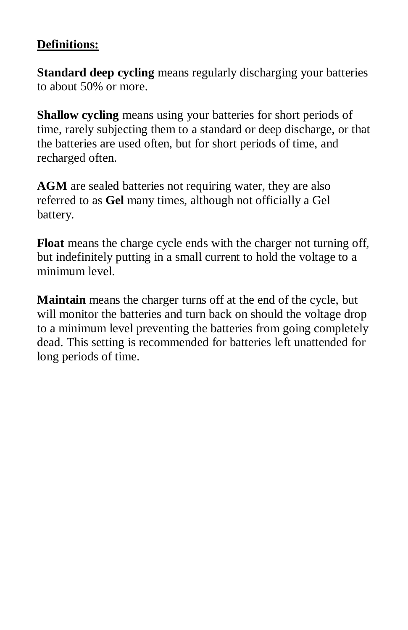## **Definitions:**

**Standard deep cycling** means regularly discharging your batteries to about 50% or more.

**Shallow cycling** means using your batteries for short periods of time, rarely subjecting them to a standard or deep discharge, or that the batteries are used often, but for short periods of time, and recharged often.

**AGM** are sealed batteries not requiring water, they are also referred to as **Gel** many times, although not officially a Gel battery.

**Float** means the charge cycle ends with the charger not turning off, but indefinitely putting in a small current to hold the voltage to a minimum level.

**Maintain** means the charger turns off at the end of the cycle, but will monitor the batteries and turn back on should the voltage drop to a minimum level preventing the batteries from going completely dead. This setting is recommended for batteries left unattended for long periods of time.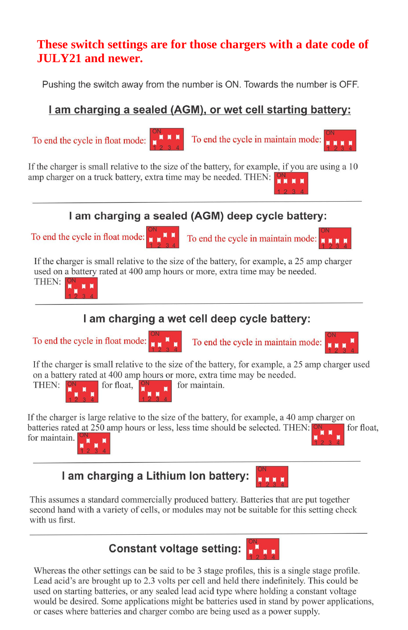## **These switch settings are for those chargers with a date code of JULY21 and newer.**

Pushing the switch away from the number is ON. Towards the number is OFF.

## I am charging a sealed (AGM), or wet cell starting battery:

To end the cycle in float mode:



To end the cycle in maintain mode:

If the charger is small relative to the size of the battery, for example, if you are using a 10 amp charger on a truck battery, extra time may be needed. THEN: **ON** 

## I am charging a sealed (AGM) deep cycle battery:

To end the cycle in float mode:



To end the cycle in maintain mode:  $\mathbf{r}$ 

If the charger is small relative to the size of the battery, for example, a 25 amp charger used on a battery rated at 400 amp hours or more, extra time may be needed.



# I am charging a wet cell deep cycle battery:





To end the cycle in maintain mode:



If the charger is small relative to the size of the battery, for example, a 25 amp charger used on a battery rated at 400 amp hours or more, extra time may be needed. for float,



for maintain.

If the charger is large relative to the size of the battery, for example, a 40 amp charger on batteries rated at 250 amp hours or less, less time should be selected. THEN: for float, for maintain.

I am charging a Lithium Ion battery:

This assumes a standard commercially produced battery. Batteries that are put together second hand with a variety of cells, or modules may not be suitable for this setting check with us first



Whereas the other settings can be said to be 3 stage profiles, this is a single stage profile. Lead acid's are brought up to 2.3 volts per cell and held there indefinitely. This could be used on starting batteries, or any sealed lead acid type where holding a constant voltage would be desired. Some applications might be batteries used in stand by power applications, or cases where batteries and charger combo are being used as a power supply.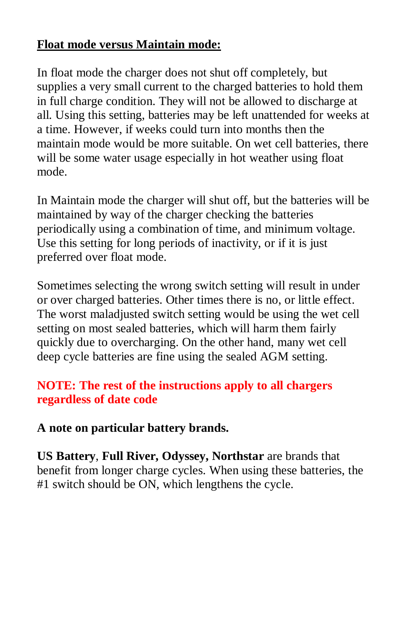## **Float mode versus Maintain mode:**

In float mode the charger does not shut off completely, but supplies a very small current to the charged batteries to hold them in full charge condition. They will not be allowed to discharge at all. Using this setting, batteries may be left unattended for weeks at a time. However, if weeks could turn into months then the maintain mode would be more suitable. On wet cell batteries, there will be some water usage especially in hot weather using float mode.

In Maintain mode the charger will shut off, but the batteries will be maintained by way of the charger checking the batteries periodically using a combination of time, and minimum voltage. Use this setting for long periods of inactivity, or if it is just preferred over float mode.

Sometimes selecting the wrong switch setting will result in under or over charged batteries. Other times there is no, or little effect. The worst maladjusted switch setting would be using the wet cell setting on most sealed batteries, which will harm them fairly quickly due to overcharging. On the other hand, many wet cell deep cycle batteries are fine using the sealed AGM setting.

## **NOTE: The rest of the instructions apply to all chargers regardless of date code**

## **A note on particular battery brands.**

**US Battery**, **Full River, Odyssey, Northstar** are brands that benefit from longer charge cycles. When using these batteries, the #1 switch should be ON, which lengthens the cycle.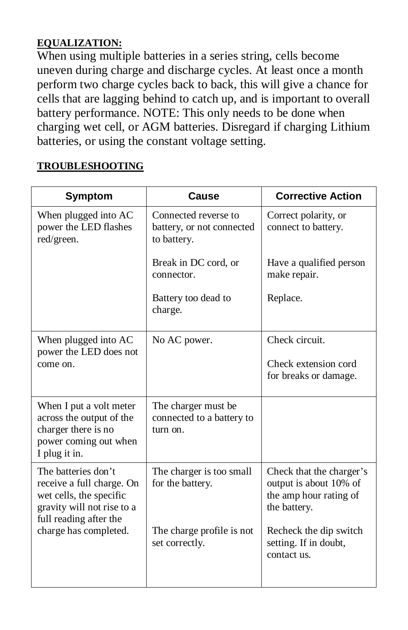#### **EQUALIZATION:**

When using multiple batteries in a series string, cells become uneven during charge and discharge cycles. At least once a month perform two charge cycles back to back, this will give a chance for cells that are lagging behind to catch up, and is important to overall battery performance. NOTE: This only needs to be done when charging wet cell, or AGM batteries. Disregard if charging Lithium batteries, or using the constant voltage setting.

#### **TROUBLESHOOTING**

| <b>Symptom</b>                                                                                                                                               | Cause                                                            | <b>Corrective Action</b>                                                                     |
|--------------------------------------------------------------------------------------------------------------------------------------------------------------|------------------------------------------------------------------|----------------------------------------------------------------------------------------------|
| When plugged into AC<br>power the LED flashes<br>red/green.                                                                                                  | Connected reverse to<br>battery, or not connected<br>to battery. | Correct polarity, or<br>connect to battery.                                                  |
|                                                                                                                                                              | Break in DC cord, or<br>connector.                               | Have a qualified person<br>make repair.                                                      |
|                                                                                                                                                              | Battery too dead to<br>charge.                                   | Replace.                                                                                     |
| When plugged into AC<br>power the LED does not<br>come on.                                                                                                   | No AC power.                                                     | Check circuit.<br>Check extension cord<br>for breaks or damage.                              |
| When I put a volt meter<br>across the output of the<br>charger there is no<br>power coming out when<br>I plug it in.                                         | The charger must be<br>connected to a battery to<br>turn on.     |                                                                                              |
| The batteries don't<br>receive a full charge. On<br>wet cells, the specific<br>gravity will not rise to a<br>full reading after the<br>charge has completed. | The charger is too small<br>for the battery.                     | Check that the charger's<br>output is about 10% of<br>the amp hour rating of<br>the battery. |
|                                                                                                                                                              | The charge profile is not<br>set correctly.                      | Recheck the dip switch<br>setting. If in doubt,<br>contact us.                               |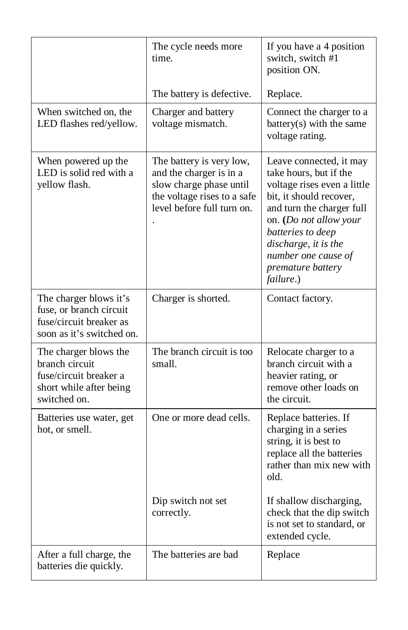|                                                                                                              | The cycle needs more<br>time.                                                                                                               | If you have a 4 position<br>switch, switch #1<br>position ON.                                                                                                                                                                                                            |
|--------------------------------------------------------------------------------------------------------------|---------------------------------------------------------------------------------------------------------------------------------------------|--------------------------------------------------------------------------------------------------------------------------------------------------------------------------------------------------------------------------------------------------------------------------|
|                                                                                                              | The battery is defective.                                                                                                                   | Replace.                                                                                                                                                                                                                                                                 |
| When switched on, the<br>LED flashes red/yellow.                                                             | Charger and battery<br>voltage mismatch.                                                                                                    | Connect the charger to a<br>battery(s) with the same<br>voltage rating.                                                                                                                                                                                                  |
| When powered up the<br>LED is solid red with a<br>yellow flash.                                              | The battery is very low,<br>and the charger is in a<br>slow charge phase until<br>the voltage rises to a safe<br>level before full turn on. | Leave connected, it may<br>take hours, but if the<br>voltage rises even a little<br>bit, it should recover,<br>and turn the charger full<br>on. (Do not allow your<br>batteries to deep<br>discharge, it is the<br>number one cause of<br>premature battery<br>failure.) |
| The charger blows it's<br>fuse, or branch circuit<br>fuse/circuit breaker as<br>soon as it's switched on.    | Charger is shorted.                                                                                                                         | Contact factory.                                                                                                                                                                                                                                                         |
| The charger blows the<br>branch circuit<br>fuse/circuit breaker a<br>short while after being<br>switched on. | The branch circuit is too<br>small.                                                                                                         | Relocate charger to a<br>branch circuit with a<br>heavier rating, or<br>remove other loads on<br>the circuit.                                                                                                                                                            |
| Batteries use water, get<br>hot, or smell.                                                                   | One or more dead cells.                                                                                                                     | Replace batteries. If<br>charging in a series<br>string, it is best to<br>replace all the batteries<br>rather than mix new with<br>old.                                                                                                                                  |
|                                                                                                              | Dip switch not set<br>correctly.                                                                                                            | If shallow discharging,<br>check that the dip switch<br>is not set to standard, or<br>extended cycle.                                                                                                                                                                    |
| After a full charge, the<br>batteries die quickly.                                                           | The batteries are bad                                                                                                                       | Replace                                                                                                                                                                                                                                                                  |